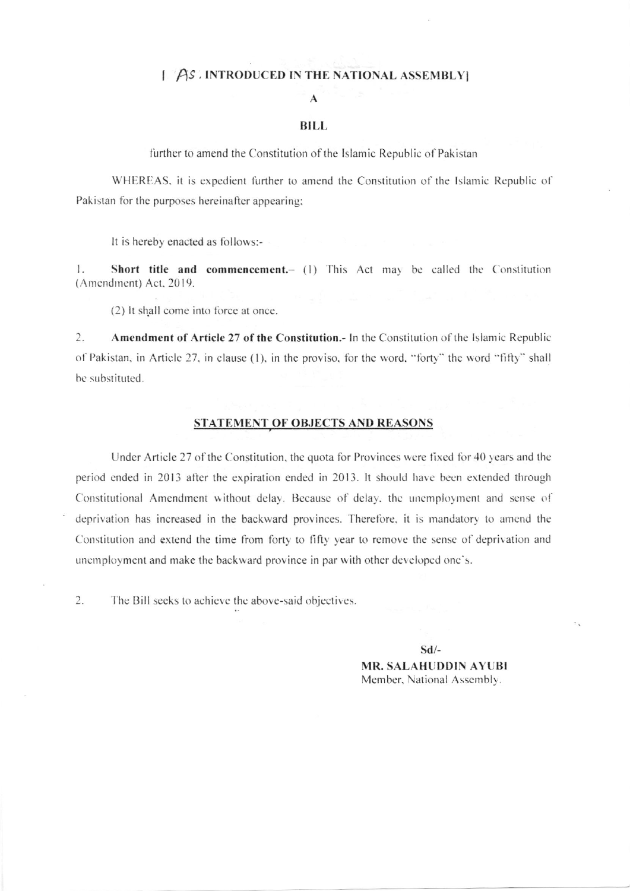### [AS INTRODUCED IN THE NATIONAL ASSEMBLY]

## $\mathbf{A}$

#### **BILL**

further to amend the Constitution of the Islamic Republic of Pakistan

WHEREAS, it is expedient further to amend the Constitution of the Islamic Republic of Pakistan for the purposes hereinafter appearing;

It is hereby enacted as follows:-

1. Short title and commencement.- (1) This Act may be called the Constitution (Amendment) Act, 2019.

(2) It shall come into force at once.

 $\overline{2}$ . Amendment of Article 27 of the Constitution.- In the Constitution of the Islamic Republic of Pakistan, in Article 27, in clause (1), in the proviso, for the word, "forty" the word "fifty" shall be substituted.

#### STATEMENT OF OBJECTS AND REASONS

Under Article 27 of the Constitution, the quota for Provinces were fixed for 40 years and the period ended in 2013 after the expiration ended in 2013. It should have been extended through Constitutional Amendment without delay. Because of delay, the unemployment and sense of deprivation has increased in the backward provinces. Therefore, it is mandatory to amend the Constitution and extend the time from forty to fifty year to remove the sense of deprivation and unemployment and make the backward province in par with other developed one's.

2. The Bill seeks to achieve the above-said objectives.

> $Sd$ /-**MR. SALAHUDDIN AYUBI** Member, National Assembly.